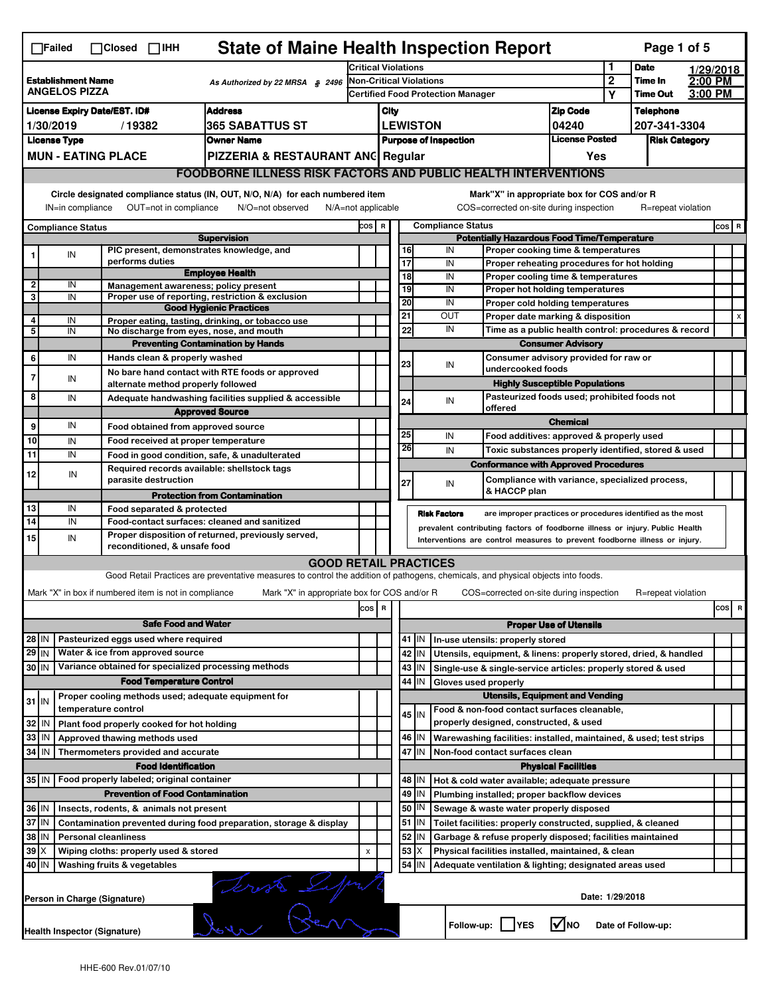|                                                                                      | <b>State of Maine Health Inspection Report</b><br>Page 1 of 5<br>$\Box$ Failed<br>$\Box$ Closed $\Box$ IHH                                                                                                                   |                                                                     |                                                                                                                                   |                         |                                                                          |                                          |                 |                                                    |                                                                                        |                               |                                      |                    |  |         |   |
|--------------------------------------------------------------------------------------|------------------------------------------------------------------------------------------------------------------------------------------------------------------------------------------------------------------------------|---------------------------------------------------------------------|-----------------------------------------------------------------------------------------------------------------------------------|-------------------------|--------------------------------------------------------------------------|------------------------------------------|-----------------|----------------------------------------------------|----------------------------------------------------------------------------------------|-------------------------------|--------------------------------------|--------------------|--|---------|---|
|                                                                                      |                                                                                                                                                                                                                              |                                                                     |                                                                                                                                   |                         | <b>Critical Violations</b>                                               |                                          |                 |                                                    |                                                                                        | 1                             | <b>Date</b>                          | 1/29/2018          |  |         |   |
| <b>Establishment Name</b><br>As Authorized by 22 MRSA § 2496<br><b>ANGELOS PIZZA</b> |                                                                                                                                                                                                                              |                                                                     | <b>Non-Critical Violations</b><br><b>Certified Food Protection Manager</b>                                                        |                         |                                                                          |                                          |                 | $\overline{2}$<br>Υ                                | Time In<br><b>Time Out</b>                                                             | 2:00 PM<br>3:00 PM            |                                      |                    |  |         |   |
|                                                                                      |                                                                                                                                                                                                                              |                                                                     |                                                                                                                                   |                         |                                                                          |                                          |                 |                                                    |                                                                                        |                               |                                      |                    |  |         |   |
| <b>Address</b><br><b>License Expiry Date/EST. ID#</b>                                |                                                                                                                                                                                                                              |                                                                     |                                                                                                                                   | <b>Zip Code</b><br>City |                                                                          |                                          |                 | 04240                                              |                                                                                        | <b>Telephone</b>              |                                      |                    |  |         |   |
| 365 SABATTUS ST<br>1/30/2019<br>/19382<br><b>License Type</b><br><b>Owner Name</b>   |                                                                                                                                                                                                                              |                                                                     |                                                                                                                                   |                         | <b>LEWISTON</b><br><b>License Posted</b><br><b>Purpose of Inspection</b> |                                          |                 |                                                    |                                                                                        |                               | 207-341-3304<br><b>Risk Category</b> |                    |  |         |   |
|                                                                                      |                                                                                                                                                                                                                              | <b>MUN - EATING PLACE</b>                                           | PIZZERIA & RESTAURANT ANC Regular                                                                                                 |                         |                                                                          |                                          |                 |                                                    |                                                                                        | Yes                           |                                      |                    |  |         |   |
|                                                                                      |                                                                                                                                                                                                                              |                                                                     |                                                                                                                                   |                         |                                                                          |                                          |                 |                                                    |                                                                                        |                               |                                      |                    |  |         |   |
|                                                                                      | <b>FOODBORNE ILLNESS RISK FACTORS AND PUBLIC HEALTH INTERVENTIONS</b>                                                                                                                                                        |                                                                     |                                                                                                                                   |                         |                                                                          |                                          |                 |                                                    |                                                                                        |                               |                                      |                    |  |         |   |
|                                                                                      | Circle designated compliance status (IN, OUT, N/O, N/A) for each numbered item<br>OUT=not in compliance<br>IN=in compliance<br>N/O=not observed<br>N/A=not applicable                                                        |                                                                     |                                                                                                                                   |                         |                                                                          |                                          |                 |                                                    | Mark"X" in appropriate box for COS and/or R<br>COS=corrected on-site during inspection |                               |                                      | R=repeat violation |  |         |   |
| <b>Compliance Status</b>                                                             |                                                                                                                                                                                                                              |                                                                     |                                                                                                                                   | COS R                   |                                                                          |                                          |                 | <b>Compliance Status</b>                           |                                                                                        |                               |                                      |                    |  | $cos$ R |   |
| <b>Supervision</b><br>PIC present, demonstrates knowledge, and                       |                                                                                                                                                                                                                              |                                                                     |                                                                                                                                   |                         |                                                                          | 16                                       | IN              | <b>Potentially Hazardous Food Time/Temperature</b> |                                                                                        |                               |                                      |                    |  |         |   |
|                                                                                      | IN                                                                                                                                                                                                                           | performs duties                                                     |                                                                                                                                   |                         |                                                                          |                                          | 17              | IN                                                 | Proper cooking time & temperatures<br>Proper reheating procedures for hot holding      |                               |                                      |                    |  |         |   |
|                                                                                      |                                                                                                                                                                                                                              |                                                                     | <b>Employee Health</b>                                                                                                            |                         |                                                                          |                                          | $\overline{18}$ | IN                                                 | Proper cooling time & temperatures                                                     |                               |                                      |                    |  |         |   |
| 2                                                                                    | IN                                                                                                                                                                                                                           | Management awareness; policy present                                |                                                                                                                                   |                         |                                                                          |                                          | 19              | IN                                                 | Proper hot holding temperatures                                                        |                               |                                      |                    |  |         |   |
| 3                                                                                    | IN                                                                                                                                                                                                                           |                                                                     | Proper use of reporting, restriction & exclusion<br><b>Good Hygienic Practices</b>                                                |                         |                                                                          |                                          | 20              | IN                                                 | Proper cold holding temperatures                                                       |                               |                                      |                    |  |         |   |
| 4                                                                                    | IN                                                                                                                                                                                                                           |                                                                     | Proper eating, tasting, drinking, or tobacco use                                                                                  |                         |                                                                          |                                          | 21              | OUT                                                | Proper date marking & disposition                                                      |                               |                                      |                    |  |         | X |
| 5                                                                                    | IN                                                                                                                                                                                                                           | No discharge from eyes, nose, and mouth                             |                                                                                                                                   |                         |                                                                          |                                          | 22              | IN                                                 | Time as a public health control: procedures & record                                   |                               |                                      |                    |  |         |   |
|                                                                                      |                                                                                                                                                                                                                              |                                                                     | <b>Preventing Contamination by Hands</b>                                                                                          |                         |                                                                          |                                          |                 |                                                    |                                                                                        | <b>Consumer Advisory</b>      |                                      |                    |  |         |   |
| 6                                                                                    | IN                                                                                                                                                                                                                           | Hands clean & properly washed                                       |                                                                                                                                   |                         |                                                                          |                                          | 23              | IN                                                 | Consumer advisory provided for raw or                                                  |                               |                                      |                    |  |         |   |
| $\overline{7}$                                                                       | IN                                                                                                                                                                                                                           |                                                                     | No bare hand contact with RTE foods or approved                                                                                   |                         |                                                                          |                                          |                 |                                                    | undercooked foods                                                                      |                               |                                      |                    |  |         |   |
|                                                                                      |                                                                                                                                                                                                                              | alternate method properly followed                                  |                                                                                                                                   |                         |                                                                          |                                          |                 |                                                    | <b>Highly Susceptible Populations</b>                                                  |                               |                                      |                    |  |         |   |
| 8                                                                                    | IN                                                                                                                                                                                                                           |                                                                     | Adequate handwashing facilities supplied & accessible                                                                             |                         |                                                                          |                                          | 24              | IN                                                 | Pasteurized foods used; prohibited foods not<br>offered                                |                               |                                      |                    |  |         |   |
|                                                                                      |                                                                                                                                                                                                                              |                                                                     | <b>Approved Source</b>                                                                                                            |                         |                                                                          |                                          |                 |                                                    |                                                                                        | <b>Chemical</b>               |                                      |                    |  |         |   |
| 9                                                                                    | IN                                                                                                                                                                                                                           | Food obtained from approved source                                  |                                                                                                                                   |                         |                                                                          |                                          | 25              | IN                                                 | Food additives: approved & properly used                                               |                               |                                      |                    |  |         |   |
| 10                                                                                   | IN                                                                                                                                                                                                                           | Food received at proper temperature                                 |                                                                                                                                   |                         |                                                                          |                                          | 26              | IN                                                 | Toxic substances properly identified, stored & used                                    |                               |                                      |                    |  |         |   |
| 11                                                                                   | IN                                                                                                                                                                                                                           |                                                                     | Food in good condition, safe, & unadulterated                                                                                     |                         |                                                                          |                                          |                 |                                                    | <b>Conformance with Approved Procedures</b>                                            |                               |                                      |                    |  |         |   |
| 12                                                                                   | IN                                                                                                                                                                                                                           | Required records available: shellstock tags<br>parasite destruction |                                                                                                                                   |                         |                                                                          |                                          |                 |                                                    | Compliance with variance, specialized process,                                         |                               |                                      |                    |  |         |   |
|                                                                                      |                                                                                                                                                                                                                              |                                                                     | <b>Protection from Contamination</b>                                                                                              |                         |                                                                          |                                          | 27              | IN                                                 | & HACCP plan                                                                           |                               |                                      |                    |  |         |   |
| 13                                                                                   | IN                                                                                                                                                                                                                           | Food separated & protected                                          |                                                                                                                                   |                         |                                                                          |                                          |                 |                                                    |                                                                                        |                               |                                      |                    |  |         |   |
| 14                                                                                   | IN                                                                                                                                                                                                                           |                                                                     | Food-contact surfaces: cleaned and sanitized                                                                                      |                         |                                                                          |                                          |                 | <b>Risk Factors</b>                                | are improper practices or procedures identified as the most                            |                               |                                      |                    |  |         |   |
|                                                                                      | prevalent contributing factors of foodborne illness or injury. Public Health<br>Proper disposition of returned, previously served,<br>15<br>IN<br>Interventions are control measures to prevent foodborne illness or injury. |                                                                     |                                                                                                                                   |                         |                                                                          |                                          |                 |                                                    |                                                                                        |                               |                                      |                    |  |         |   |
|                                                                                      |                                                                                                                                                                                                                              | reconditioned, & unsafe food                                        |                                                                                                                                   |                         |                                                                          |                                          |                 |                                                    |                                                                                        |                               |                                      |                    |  |         |   |
|                                                                                      |                                                                                                                                                                                                                              |                                                                     | <b>GOOD RETAIL PRACTICES</b>                                                                                                      |                         |                                                                          |                                          |                 |                                                    |                                                                                        |                               |                                      |                    |  |         |   |
|                                                                                      |                                                                                                                                                                                                                              |                                                                     | Good Retail Practices are preventative measures to control the addition of pathogens, chemicals, and physical objects into foods. |                         |                                                                          |                                          |                 |                                                    |                                                                                        |                               |                                      |                    |  |         |   |
|                                                                                      |                                                                                                                                                                                                                              | Mark "X" in box if numbered item is not in compliance               | Mark "X" in appropriate box for COS and/or R                                                                                      |                         |                                                                          |                                          |                 |                                                    | COS=corrected on-site during inspection                                                |                               |                                      | R=repeat violation |  |         |   |
|                                                                                      |                                                                                                                                                                                                                              |                                                                     |                                                                                                                                   | $\cos$                  | R                                                                        |                                          |                 |                                                    |                                                                                        |                               |                                      |                    |  | cos     | R |
|                                                                                      |                                                                                                                                                                                                                              | <b>Safe Food and Water</b>                                          |                                                                                                                                   |                         |                                                                          |                                          |                 |                                                    |                                                                                        | <b>Proper Use of Utensils</b> |                                      |                    |  |         |   |
| 28 IN                                                                                |                                                                                                                                                                                                                              | Pasteurized eggs used where required                                |                                                                                                                                   |                         |                                                                          |                                          | $41$ M          |                                                    | In-use utensils: properly stored                                                       |                               |                                      |                    |  |         |   |
| $29$ IN                                                                              |                                                                                                                                                                                                                              | Water & ice from approved source                                    |                                                                                                                                   |                         |                                                                          |                                          | 42   IN         |                                                    | Utensils, equipment, & linens: properly stored, dried, & handled                       |                               |                                      |                    |  |         |   |
| 30 IN                                                                                |                                                                                                                                                                                                                              | Variance obtained for specialized processing methods                |                                                                                                                                   |                         |                                                                          |                                          | $43$   IN       |                                                    | Single-use & single-service articles: properly stored & used                           |                               |                                      |                    |  |         |   |
|                                                                                      |                                                                                                                                                                                                                              | <b>Food Temperature Control</b>                                     |                                                                                                                                   |                         |                                                                          |                                          | 44<br>ΙIΝ       | Gloves used properly                               |                                                                                        |                               |                                      |                    |  |         |   |
|                                                                                      |                                                                                                                                                                                                                              | Proper cooling methods used; adequate equipment for                 |                                                                                                                                   |                         |                                                                          |                                          |                 |                                                    | <b>Utensils, Equipment and Vending</b>                                                 |                               |                                      |                    |  |         |   |
| $31$ IN                                                                              |                                                                                                                                                                                                                              | temperature control                                                 |                                                                                                                                   |                         |                                                                          |                                          | $45$ IN         |                                                    | Food & non-food contact surfaces cleanable,                                            |                               |                                      |                    |  |         |   |
| 32                                                                                   | IN                                                                                                                                                                                                                           | Plant food properly cooked for hot holding                          |                                                                                                                                   |                         |                                                                          |                                          |                 |                                                    | properly designed, constructed, & used                                                 |                               |                                      |                    |  |         |   |
| 33                                                                                   | IN                                                                                                                                                                                                                           | Approved thawing methods used                                       |                                                                                                                                   |                         |                                                                          |                                          | 46 IN           |                                                    | Warewashing facilities: installed, maintained, & used; test strips                     |                               |                                      |                    |  |         |   |
| 34                                                                                   | IN                                                                                                                                                                                                                           | Thermometers provided and accurate                                  |                                                                                                                                   |                         |                                                                          | 47 IN<br>Non-food contact surfaces clean |                 |                                                    |                                                                                        |                               |                                      |                    |  |         |   |
|                                                                                      |                                                                                                                                                                                                                              | <b>Food Identification</b>                                          |                                                                                                                                   |                         |                                                                          |                                          |                 |                                                    |                                                                                        | <b>Physical Facilities</b>    |                                      |                    |  |         |   |
| 35 IN                                                                                |                                                                                                                                                                                                                              | Food properly labeled; original container                           |                                                                                                                                   |                         |                                                                          |                                          | 48   IN         |                                                    | Hot & cold water available; adequate pressure                                          |                               |                                      |                    |  |         |   |
|                                                                                      |                                                                                                                                                                                                                              | <b>Prevention of Food Contamination</b>                             |                                                                                                                                   |                         |                                                                          |                                          | $49$ IN         |                                                    | Plumbing installed; proper backflow devices                                            |                               |                                      |                    |  |         |   |
| 36 IN                                                                                |                                                                                                                                                                                                                              | Insects, rodents, & animals not present                             |                                                                                                                                   |                         |                                                                          |                                          | 50   IN         |                                                    | Sewage & waste water properly disposed                                                 |                               |                                      |                    |  |         |   |
| 37 IN                                                                                |                                                                                                                                                                                                                              |                                                                     | Contamination prevented during food preparation, storage & display                                                                |                         |                                                                          |                                          | $51$ $\vert$ IN |                                                    | Toilet facilities: properly constructed, supplied, & cleaned                           |                               |                                      |                    |  |         |   |
| 38                                                                                   | IN                                                                                                                                                                                                                           | <b>Personal cleanliness</b>                                         |                                                                                                                                   |                         |                                                                          |                                          | 52 J IN         |                                                    | Garbage & refuse properly disposed; facilities maintained                              |                               |                                      |                    |  |         |   |
| 39                                                                                   | ΙX                                                                                                                                                                                                                           | Wiping cloths: properly used & stored                               |                                                                                                                                   | X                       |                                                                          |                                          | 53<br>ΙX        |                                                    | Physical facilities installed, maintained, & clean                                     |                               |                                      |                    |  |         |   |
| 40                                                                                   | ΙM                                                                                                                                                                                                                           | Washing fruits & vegetables                                         |                                                                                                                                   |                         |                                                                          |                                          | 54 IN           |                                                    | Adequate ventilation & lighting; designated areas used                                 |                               |                                      |                    |  |         |   |
| leviste Lipy<br>Date: 1/29/2018<br>Person in Charge (Signature)                      |                                                                                                                                                                                                                              |                                                                     |                                                                                                                                   |                         |                                                                          |                                          |                 |                                                    |                                                                                        |                               |                                      |                    |  |         |   |
|                                                                                      | l√lno<br>Follow-up:  <br><b>YES</b><br>Date of Follow-up:<br><b>Health Inspector (Signature)</b>                                                                                                                             |                                                                     |                                                                                                                                   |                         |                                                                          |                                          |                 |                                                    |                                                                                        |                               |                                      |                    |  |         |   |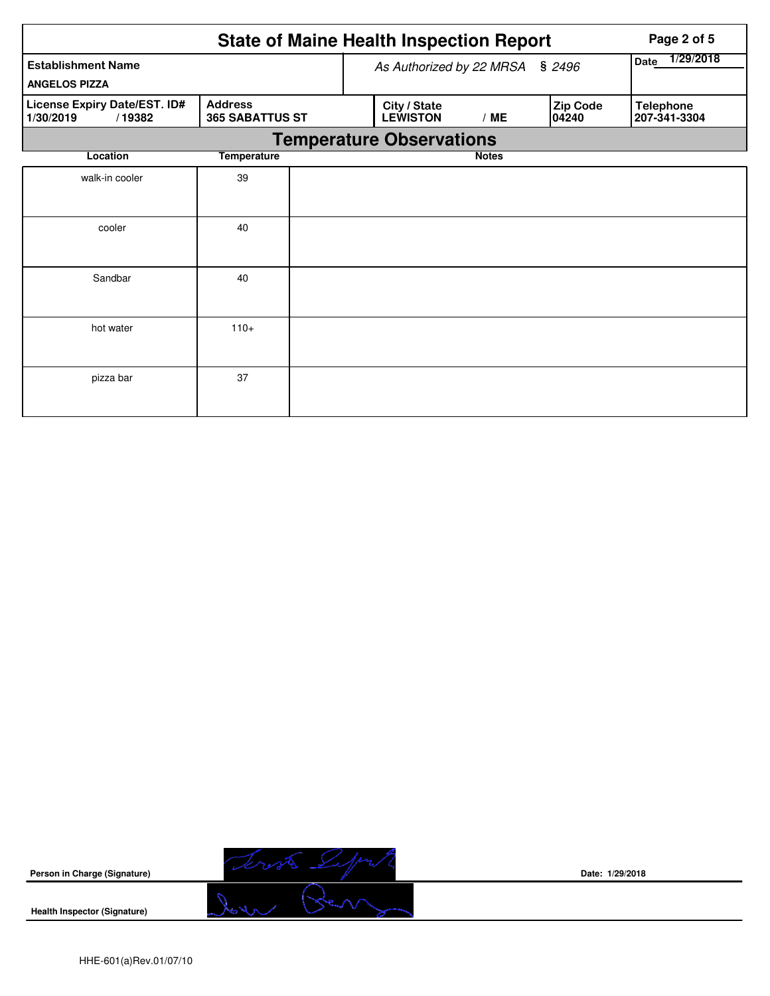|                                                     | <b>State of Maine Health Inspection Report</b> |                          | Page 2 of 5                     |              |                   |                                  |
|-----------------------------------------------------|------------------------------------------------|--------------------------|---------------------------------|--------------|-------------------|----------------------------------|
| <b>Establishment Name</b><br><b>ANGELOS PIZZA</b>   | As Authorized by 22 MRSA                       | 1/29/2018<br><b>Date</b> |                                 |              |                   |                                  |
| License Expiry Date/EST. ID#<br>1/30/2019<br>/19382 | <b>Address</b><br><b>365 SABATTUS ST</b>       |                          | City / State<br><b>LEWISTON</b> | /ME          | Zip Code<br>04240 | <b>Telephone</b><br>207-341-3304 |
|                                                     |                                                |                          | <b>Temperature Observations</b> |              |                   |                                  |
| Location                                            | <b>Temperature</b>                             |                          |                                 | <b>Notes</b> |                   |                                  |
| walk-in cooler                                      | 39                                             |                          |                                 |              |                   |                                  |
| cooler                                              | 40                                             |                          |                                 |              |                   |                                  |
| Sandbar                                             | 40                                             |                          |                                 |              |                   |                                  |
| hot water                                           | $110+$                                         |                          |                                 |              |                   |                                  |
| pizza bar                                           | 37                                             |                          |                                 |              |                   |                                  |



**Date: 1/29/2018**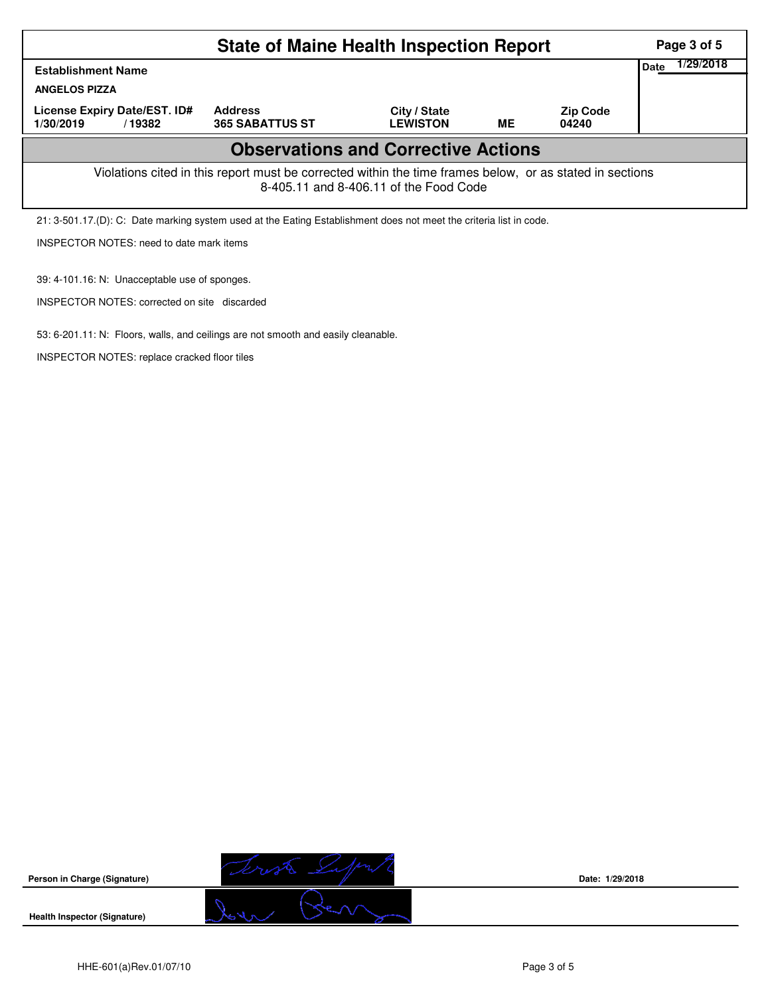|                                                                                                                                                    | Page 3 of 5                              |                                 |    |                          |  |  |  |  |  |  |
|----------------------------------------------------------------------------------------------------------------------------------------------------|------------------------------------------|---------------------------------|----|--------------------------|--|--|--|--|--|--|
| <b>Establishment Name</b>                                                                                                                          | 1/29/2018<br>Date                        |                                 |    |                          |  |  |  |  |  |  |
| <b>ANGELOS PIZZA</b>                                                                                                                               |                                          |                                 |    |                          |  |  |  |  |  |  |
| License Expiry Date/EST. ID#<br>1/30/2019<br>/19382                                                                                                | <b>Address</b><br><b>365 SABATTUS ST</b> | City / State<br><b>LEWISTON</b> | ME | <b>Zip Code</b><br>04240 |  |  |  |  |  |  |
| <b>Observations and Corrective Actions</b>                                                                                                         |                                          |                                 |    |                          |  |  |  |  |  |  |
| Violations cited in this report must be corrected within the time frames below, or as stated in sections<br>8-405.11 and 8-406.11 of the Food Code |                                          |                                 |    |                          |  |  |  |  |  |  |
| 21: 3-501.17.(D): C: Date marking system used at the Eating Establishment does not meet the criteria list in code.                                 |                                          |                                 |    |                          |  |  |  |  |  |  |
| <b>INSPECTOR NOTES: need to date mark items</b>                                                                                                    |                                          |                                 |    |                          |  |  |  |  |  |  |

39: 4-101.16: N: Unacceptable use of sponges.

INSPECTOR NOTES: corrected on site discarded

53: 6-201.11: N: Floors, walls, and ceilings are not smooth and easily cleanable.

INSPECTOR NOTES: replace cracked floor tiles



**Date: 1/29/2018**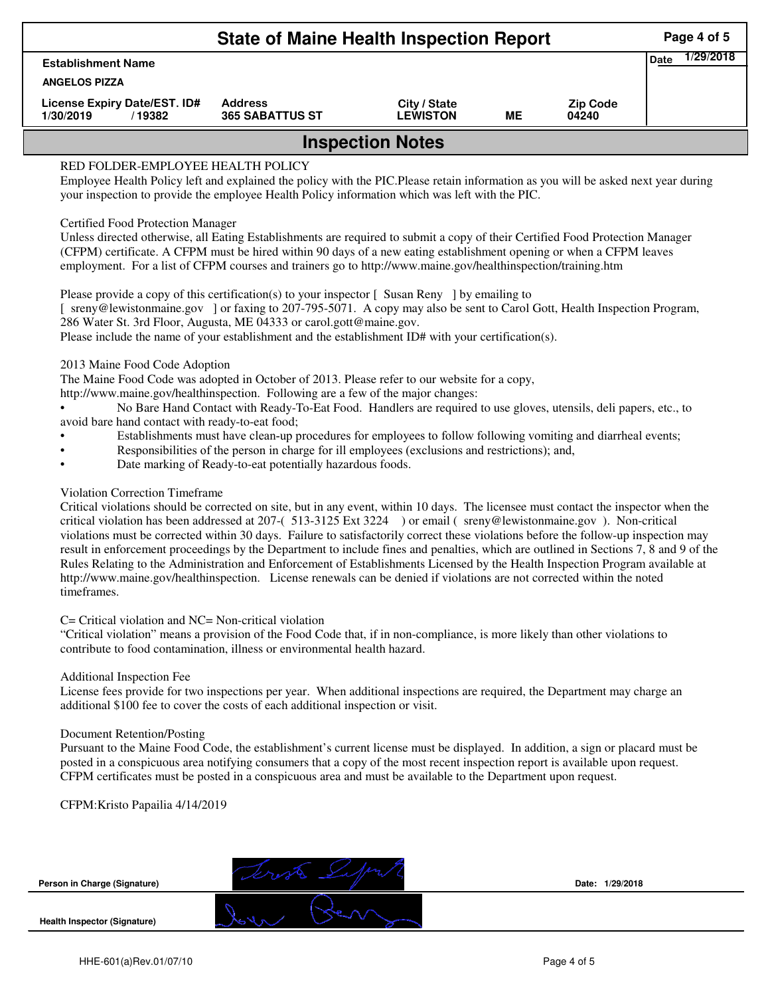| <b>State of Maine Health Inspection Report</b>                                                                                                                                                                                                                            |                                          |                                 |    |                          |  |  |  |  |  |  |
|---------------------------------------------------------------------------------------------------------------------------------------------------------------------------------------------------------------------------------------------------------------------------|------------------------------------------|---------------------------------|----|--------------------------|--|--|--|--|--|--|
| <b>Establishment Name</b>                                                                                                                                                                                                                                                 |                                          |                                 |    |                          |  |  |  |  |  |  |
| <b>ANGELOS PIZZA</b>                                                                                                                                                                                                                                                      |                                          |                                 |    |                          |  |  |  |  |  |  |
| License Expiry Date/EST. ID#<br>1/30/2019<br>/19382                                                                                                                                                                                                                       | <b>Address</b><br><b>365 SABATTUS ST</b> | City / State<br><b>LEWISTON</b> | ME | <b>Zip Code</b><br>04240 |  |  |  |  |  |  |
| <b>Inspection Notes</b>                                                                                                                                                                                                                                                   |                                          |                                 |    |                          |  |  |  |  |  |  |
| RED FOLDER-EMPLOYEE HEALTH POLICY<br>Employee Health Policy left and explained the policy with the PIC. Please retain information as you will be asked next year during<br>your inspection to provide the employee Health Policy information which was left with the PIC. |                                          |                                 |    |                          |  |  |  |  |  |  |

# Certified Food Protection Manager

Unless directed otherwise, all Eating Establishments are required to submit a copy of their Certified Food Protection Manager (CFPM) certificate. A CFPM must be hired within 90 days of a new eating establishment opening or when a CFPM leaves employment. For a list of CFPM courses and trainers go to http://www.maine.gov/healthinspection/training.htm

Please provide a copy of this certification(s) to your inspector [Susan Reny ] by emailing to [ sreny@lewistonmaine.gov ] or faxing to 207-795-5071. A copy may also be sent to Carol Gott, Health Inspection Program, 286 Water St. 3rd Floor, Augusta, ME 04333 or carol.gott@maine.gov.

Please include the name of your establishment and the establishment ID# with your certification(s).

2013 Maine Food Code Adoption

The Maine Food Code was adopted in October of 2013. Please refer to our website for a copy,

http://www.maine.gov/healthinspection. Following are a few of the major changes:

• No Bare Hand Contact with Ready-To-Eat Food. Handlers are required to use gloves, utensils, deli papers, etc., to avoid bare hand contact with ready-to-eat food;

- Establishments must have clean-up procedures for employees to follow following vomiting and diarrheal events;
- Responsibilities of the person in charge for ill employees (exclusions and restrictions); and,
- Date marking of Ready-to-eat potentially hazardous foods.

# Violation Correction Timeframe

Critical violations should be corrected on site, but in any event, within 10 days. The licensee must contact the inspector when the critical violation has been addressed at 207-( 513-3125 Ext 3224 ) or email ( sreny@lewistonmaine.gov ). Non-critical violations must be corrected within 30 days. Failure to satisfactorily correct these violations before the follow-up inspection may result in enforcement proceedings by the Department to include fines and penalties, which are outlined in Sections 7, 8 and 9 of the Rules Relating to the Administration and Enforcement of Establishments Licensed by the Health Inspection Program available at http://www.maine.gov/healthinspection. License renewals can be denied if violations are not corrected within the noted timeframes.

## C= Critical violation and NC= Non-critical violation

"Critical violation" means a provision of the Food Code that, if in non-compliance, is more likely than other violations to contribute to food contamination, illness or environmental health hazard.

## Additional Inspection Fee

License fees provide for two inspections per year. When additional inspections are required, the Department may charge an additional \$100 fee to cover the costs of each additional inspection or visit.

## Document Retention/Posting

Pursuant to the Maine Food Code, the establishment's current license must be displayed. In addition, a sign or placard must be posted in a conspicuous area notifying consumers that a copy of the most recent inspection report is available upon request. CFPM certificates must be posted in a conspicuous area and must be available to the Department upon request.

CFPM:Kristo Papailia 4/14/2019